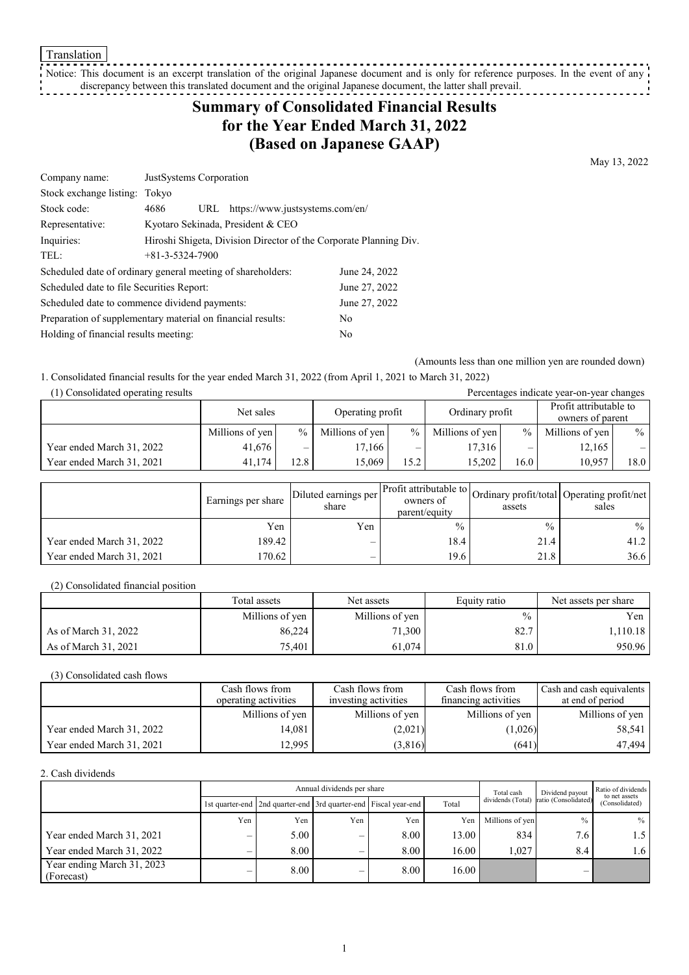Translation

Notice: This document is an excerpt translation of the original Japanese document and is only for reference purposes. In the event of any discrepancy between this translated document and the original Japanese document, the latter shall prevail.

# **Summary of Consolidated Financial Results for the Year Ended March 31, 2022 (Based on Japanese GAAP)**

May 13, 2022

| Company name:                                                     |                         | JustSystems Corporation                                           |                                   |               |  |  |  |
|-------------------------------------------------------------------|-------------------------|-------------------------------------------------------------------|-----------------------------------|---------------|--|--|--|
| Stock exchange listing:                                           | Tokyo                   |                                                                   |                                   |               |  |  |  |
| Stock code:                                                       | 4686                    | URL                                                               | https://www.justsystems.com/en/   |               |  |  |  |
| Representative:                                                   |                         |                                                                   | Kyotaro Sekinada, President & CEO |               |  |  |  |
| Inquiries:                                                        |                         | Hiroshi Shigeta, Division Director of the Corporate Planning Div. |                                   |               |  |  |  |
| TEL:                                                              | $+81 - 3 - 5324 - 7900$ |                                                                   |                                   |               |  |  |  |
| Scheduled date of ordinary general meeting of shareholders:       |                         |                                                                   |                                   | June 24, 2022 |  |  |  |
| June 27, 2022<br>Scheduled date to file Securities Report:        |                         |                                                                   |                                   |               |  |  |  |
| June 27, 2022<br>Scheduled date to commence dividend payments:    |                         |                                                                   |                                   |               |  |  |  |
| Preparation of supplementary material on financial results:<br>No |                         |                                                                   |                                   |               |  |  |  |
| Holding of financial results meeting:<br>No                       |                         |                                                                   |                                   |               |  |  |  |

(Amounts less than one million yen are rounded down)

1. Consolidated financial results for the year ended March 31, 2022 (from April 1, 2021 to March 31, 2022)

(1) Consolidated operating results Percentages indicate year-on-year changes Net sales Depending profit Ordinary profit Profit attributable to owners of parent Millions of yen  $\begin{array}{c|c} \hline \end{array}$  % | Millions of yen  $\begin{array}{c|c} \hline \end{array}$  % | Millions of yen  $\begin{array}{c} \hline \end{array}$  % | Millions of yen  $\begin{array}{c} \hline \end{array}$  % | Millions of yen  $\begin{array}{c} \hline \end{array}$ Year ended March 31, 2022 41,676 – 17,166 – 17,166 – 17,316 – 12,165 Year ended March 31, 2021 41,174 12.8 15,069 15.2 15,202 16.0 10,957 18.0

|                           | Earnings per share | Diluted earnings per<br>share | owners of<br>parent/equity | assets        | Ner Profit attributable to Ordinary profit/total Operating profit/net<br>sales |
|---------------------------|--------------------|-------------------------------|----------------------------|---------------|--------------------------------------------------------------------------------|
|                           | Yen                | Yen                           | $\frac{0}{0}$              | $\frac{0}{0}$ | $\frac{0}{0}$                                                                  |
| Year ended March 31, 2022 | 189.42             | $\overline{\phantom{0}}$      | 18.4                       | 21.4          | 41.2                                                                           |
| Year ended March 31, 2021 | 170.62             | —                             | 19.6                       | 21.8          | 36.6                                                                           |

(2) Consolidated financial position

|                      | Total assets<br>Net assets |                 | Equity ratio  | Net assets per share |
|----------------------|----------------------------|-----------------|---------------|----------------------|
|                      | Millions of yen            | Millions of yen | $\frac{0}{0}$ | Yen                  |
| As of March 31, 2022 | 86,224                     | 71,300          | 82.7          | 1,110.18 '           |
| As of March 31, 2021 | 75,401                     | 61.074          | 81.0          | 950.96               |

(3) Consolidated cash flows

|                           | Cash flows from      | Cash flows from      |                      | Cash and cash equivalents |
|---------------------------|----------------------|----------------------|----------------------|---------------------------|
|                           | operating activities | investing activities | financing activities | at end of period          |
|                           | Millions of yen      | Millions of yen      | Millions of yen      | Millions of yen           |
| Year ended March 31, 2022 | 14.081               | (2,021)              | (1,026)              | 58,541                    |
| Year ended March 31, 2021 | 12.995               | (3,816)              | (641)                | 47.494                    |

2. Cash dividends

|                                          |                          |      | Annual dividends per share |                                                                       |       | Total cash      | Dividend payout                        | Ratio of dividends<br>to net assets<br>(Consolidated) |
|------------------------------------------|--------------------------|------|----------------------------|-----------------------------------------------------------------------|-------|-----------------|----------------------------------------|-------------------------------------------------------|
|                                          |                          |      |                            | 1st quarter-end   2nd quarter-end   3rd quarter-end   Fiscal year-end | Total |                 | dividends (Total) ratio (Consolidated) |                                                       |
|                                          | Yen                      | Yen  | Yen                        | Yen                                                                   | Yen   | Millions of yen | $\frac{0}{0}$                          | $\%$                                                  |
| Year ended March 31, 2021                | –                        | 5.00 | –                          | 8.00                                                                  | 13.00 | 834             | 7.6                                    | 1.5                                                   |
| Year ended March 31, 2022                |                          | 8.00 | –                          | 8.00                                                                  | 16.00 | 1.027           | 8.4                                    | 1.6                                                   |
| Year ending March 31, 2023<br>(Forecast) | $\overline{\phantom{0}}$ | 8.00 | –                          | 8.00                                                                  | 16.00 |                 | —                                      |                                                       |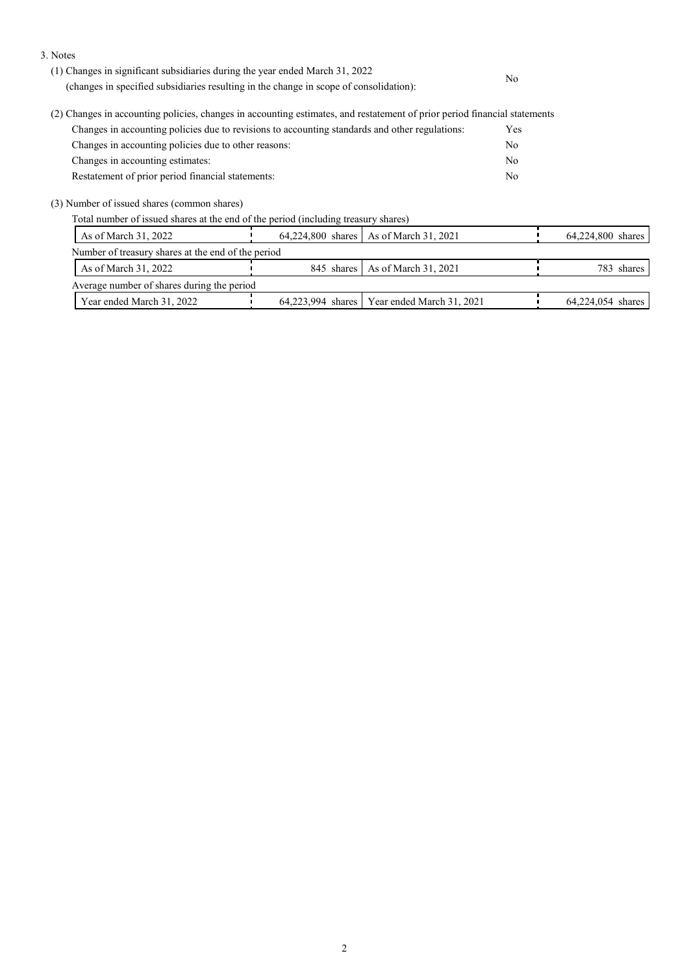3. Notes

| (1) Changes in significant subsidiaries during the year ended March 31, 2022                                              | No         |
|---------------------------------------------------------------------------------------------------------------------------|------------|
| (changes in specified subsidiaries resulting in the change in scope of consolidation):                                    |            |
| (2) Changes in accounting policies, changes in accounting estimates, and restatement of prior period financial statements |            |
| Changes in accounting policies due to revisions to accounting standards and other regulations:                            | <b>Yes</b> |
| Changes in accounting policies due to other reasons:                                                                      | No.        |
| Changes in accounting estimates:                                                                                          | No         |
| Restatement of prior period financial statements:                                                                         | No         |
| (3) Number of issued shares (common shares)                                                                               |            |

Total number of issued shares at the end of the period (including treasury shares)

| As of March 31, 2022                               | 64,224,800 shares   As of March 31, 2021      | 64,224,800 shares |
|----------------------------------------------------|-----------------------------------------------|-------------------|
| Number of treasury shares at the end of the period |                                               |                   |
| As of March 31, 2022                               | 845 shares   As of March 31, 2021             | 783 shares        |
| Average number of shares during the period         |                                               |                   |
| Year ended March 31, 2022                          | 64,223,994 shares   Year ended March 31, 2021 | 64,224,054 shares |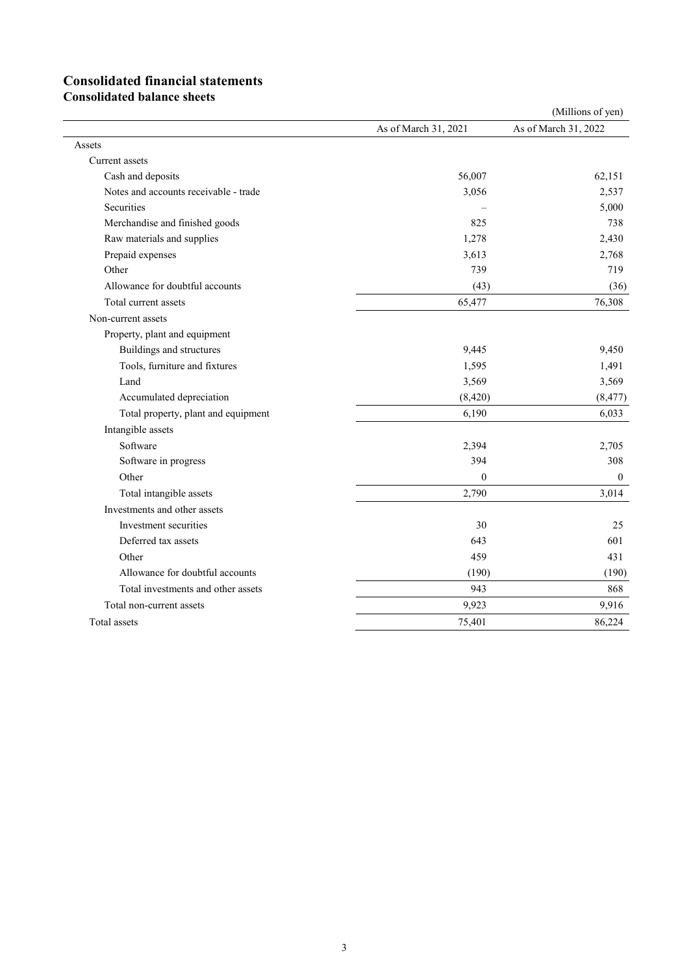## **Consolidated financial statements**

**Consolidated balance sheets**

|                                       | (Millions of yen)    |                      |  |  |  |
|---------------------------------------|----------------------|----------------------|--|--|--|
|                                       | As of March 31, 2021 | As of March 31, 2022 |  |  |  |
| Assets                                |                      |                      |  |  |  |
| Current assets                        |                      |                      |  |  |  |
| Cash and deposits                     | 56,007               | 62,151               |  |  |  |
| Notes and accounts receivable - trade | 3,056                | 2,537                |  |  |  |
| Securities                            |                      | 5,000                |  |  |  |
| Merchandise and finished goods        | 825                  | 738                  |  |  |  |
| Raw materials and supplies            | 1,278                | 2,430                |  |  |  |
| Prepaid expenses                      | 3,613                | 2,768                |  |  |  |
| Other                                 | 739                  | 719                  |  |  |  |
| Allowance for doubtful accounts       | (43)                 | (36)                 |  |  |  |
| Total current assets                  | 65,477               | 76,308               |  |  |  |
| Non-current assets                    |                      |                      |  |  |  |
| Property, plant and equipment         |                      |                      |  |  |  |
| Buildings and structures              | 9,445                | 9,450                |  |  |  |
| Tools, furniture and fixtures         | 1,595                | 1,491                |  |  |  |
| Land                                  | 3,569                | 3,569                |  |  |  |
| Accumulated depreciation              | (8, 420)             | (8, 477)             |  |  |  |
| Total property, plant and equipment   | 6,190                | 6,033                |  |  |  |
| Intangible assets                     |                      |                      |  |  |  |
| Software                              | 2,394                | 2,705                |  |  |  |
| Software in progress                  | 394                  | 308                  |  |  |  |
| Other                                 | $\mathbf{0}$         | $\theta$             |  |  |  |
| Total intangible assets               | 2,790                | 3,014                |  |  |  |
| Investments and other assets          |                      |                      |  |  |  |
| Investment securities                 | 30                   | 25                   |  |  |  |
| Deferred tax assets                   | 643                  | 601                  |  |  |  |
| Other                                 | 459                  | 431                  |  |  |  |
| Allowance for doubtful accounts       | (190)                | (190)                |  |  |  |
| Total investments and other assets    | 943                  | 868                  |  |  |  |
| Total non-current assets              | 9,923                | 9,916                |  |  |  |
| Total assets                          | 75,401               | 86,224               |  |  |  |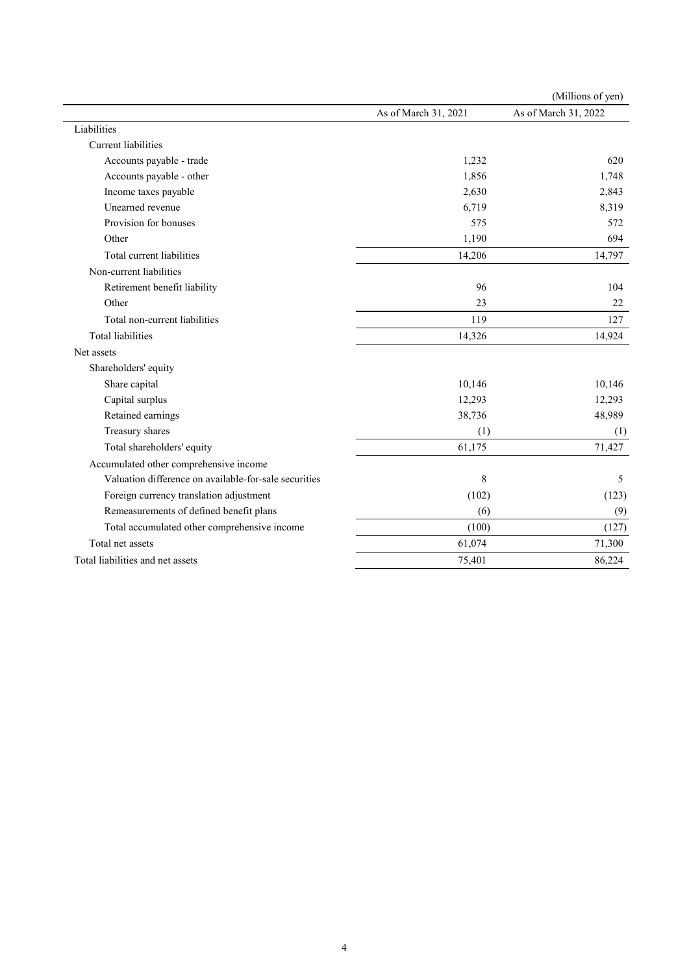|                                                       |                      | (Millions of yen)    |
|-------------------------------------------------------|----------------------|----------------------|
|                                                       | As of March 31, 2021 | As of March 31, 2022 |
| Liabilities                                           |                      |                      |
| <b>Current liabilities</b>                            |                      |                      |
| Accounts payable - trade                              | 1,232                | 620                  |
| Accounts payable - other                              | 1,856                | 1,748                |
| Income taxes payable                                  | 2,630                | 2,843                |
| Unearned revenue                                      | 6,719                | 8,319                |
| Provision for bonuses                                 | 575                  | 572                  |
| Other                                                 | 1,190                | 694                  |
| Total current liabilities                             | 14,206               | 14,797               |
| Non-current liabilities                               |                      |                      |
| Retirement benefit liability                          | 96                   | 104                  |
| Other                                                 | 23                   | 22                   |
| Total non-current liabilities                         | 119                  | 127                  |
| <b>Total liabilities</b>                              | 14,326               | 14,924               |
| Net assets                                            |                      |                      |
| Shareholders' equity                                  |                      |                      |
| Share capital                                         | 10,146               | 10,146               |
| Capital surplus                                       | 12,293               | 12,293               |
| Retained earnings                                     | 38,736               | 48,989               |
| Treasury shares                                       | (1)                  | (1)                  |
| Total shareholders' equity                            | 61,175               | 71,427               |
| Accumulated other comprehensive income                |                      |                      |
| Valuation difference on available-for-sale securities | 8                    | 5                    |
| Foreign currency translation adjustment               | (102)                | (123)                |
| Remeasurements of defined benefit plans               | (6)                  | (9)                  |
| Total accumulated other comprehensive income          | (100)                | (127)                |
| Total net assets                                      | 61,074               | 71,300               |
| Total liabilities and net assets                      | 75,401               | 86,224               |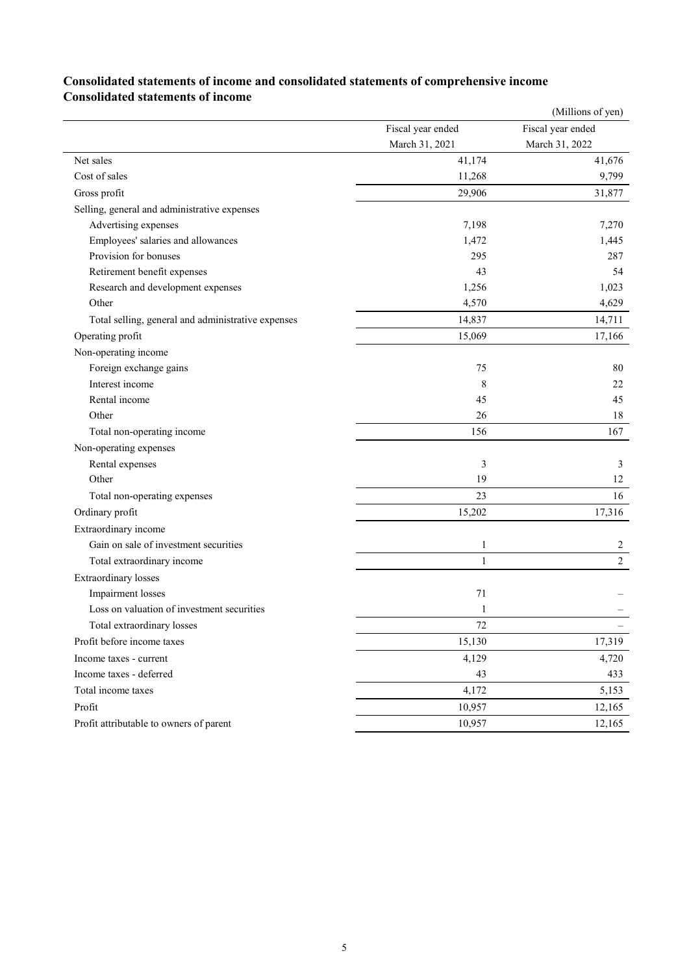### **Consolidated statements of income and consolidated statements of comprehensive income Consolidated statements of income**

|                                                    |                   | (Millions of yen) |
|----------------------------------------------------|-------------------|-------------------|
|                                                    | Fiscal year ended | Fiscal year ended |
|                                                    | March 31, 2021    | March 31, 2022    |
| Net sales                                          | 41,174            | 41,676            |
| Cost of sales                                      | 11,268            | 9,799             |
| Gross profit                                       | 29,906            | 31,877            |
| Selling, general and administrative expenses       |                   |                   |
| Advertising expenses                               | 7,198             | 7,270             |
| Employees' salaries and allowances                 | 1,472             | 1,445             |
| Provision for bonuses                              | 295               | 287               |
| Retirement benefit expenses                        | 43                | 54                |
| Research and development expenses                  | 1,256             | 1,023             |
| Other                                              | 4,570             | 4,629             |
| Total selling, general and administrative expenses | 14,837            | 14,711            |
| Operating profit                                   | 15,069            | 17,166            |
| Non-operating income                               |                   |                   |
| Foreign exchange gains                             | 75                | 80                |
| Interest income                                    | 8                 | 22                |
| Rental income                                      | 45                | 45                |
| Other                                              | 26                | 18                |
| Total non-operating income                         | 156               | 167               |
| Non-operating expenses                             |                   |                   |
| Rental expenses                                    | 3                 | 3                 |
| Other                                              | 19                | 12                |
| Total non-operating expenses                       | 23                | 16                |
| Ordinary profit                                    | 15,202            | 17,316            |
| Extraordinary income                               |                   |                   |
| Gain on sale of investment securities              | 1                 | $\overline{c}$    |
| Total extraordinary income                         | 1                 | $\overline{2}$    |
| <b>Extraordinary</b> losses                        |                   |                   |
| Impairment losses                                  | 71                |                   |
| Loss on valuation of investment securities         | 1                 |                   |
| Total extraordinary losses                         | 72                |                   |
| Profit before income taxes                         | 15,130            | 17,319            |
| Income taxes - current                             | 4,129             | 4,720             |
| Income taxes - deferred                            | 43                | 433               |
| Total income taxes                                 | 4,172             | 5,153             |
| Profit                                             | 10,957            | 12,165            |
| Profit attributable to owners of parent            | 10,957            | 12,165            |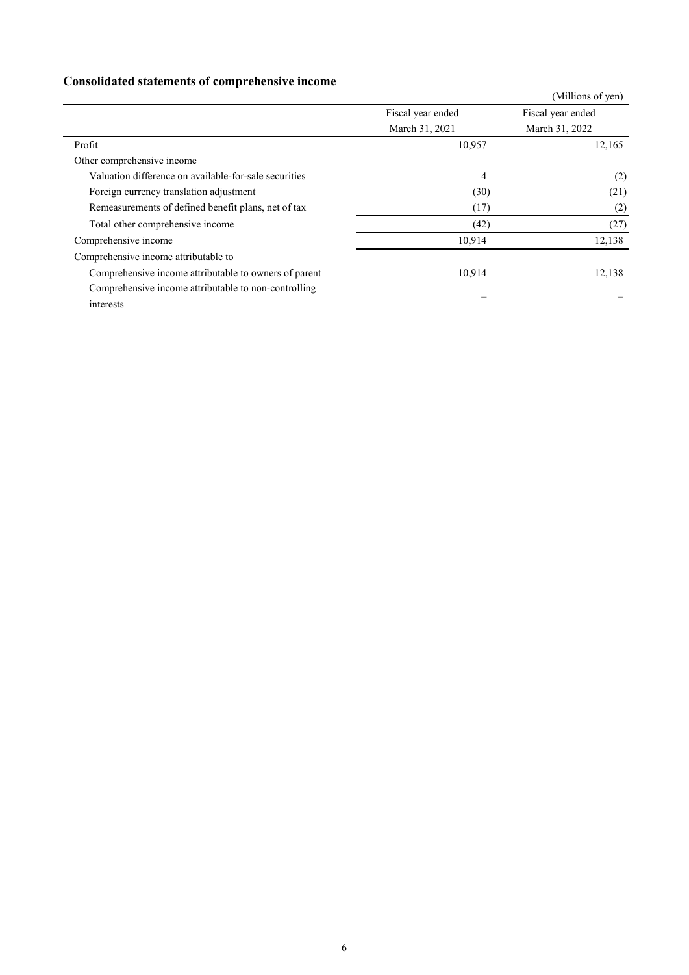## **Consolidated statements of comprehensive income**

| Consonautea surtements or comprenensive meome         |                   |                   |
|-------------------------------------------------------|-------------------|-------------------|
|                                                       |                   | (Millions of yen) |
|                                                       | Fiscal year ended | Fiscal year ended |
|                                                       | March 31, 2021    | March 31, 2022    |
| Profit                                                | 10,957            | 12,165            |
| Other comprehensive income                            |                   |                   |
| Valuation difference on available-for-sale securities | 4                 | (2)               |
| Foreign currency translation adjustment               | (30)              | (21)              |
| Remeasurements of defined benefit plans, net of tax   | (17)              | (2)               |
| Total other comprehensive income                      | (42)              | (27)              |
| Comprehensive income                                  | 10,914            | 12,138            |
| Comprehensive income attributable to                  |                   |                   |
| Comprehensive income attributable to owners of parent | 10,914            | 12,138            |
| Comprehensive income attributable to non-controlling  |                   |                   |
| interests                                             |                   |                   |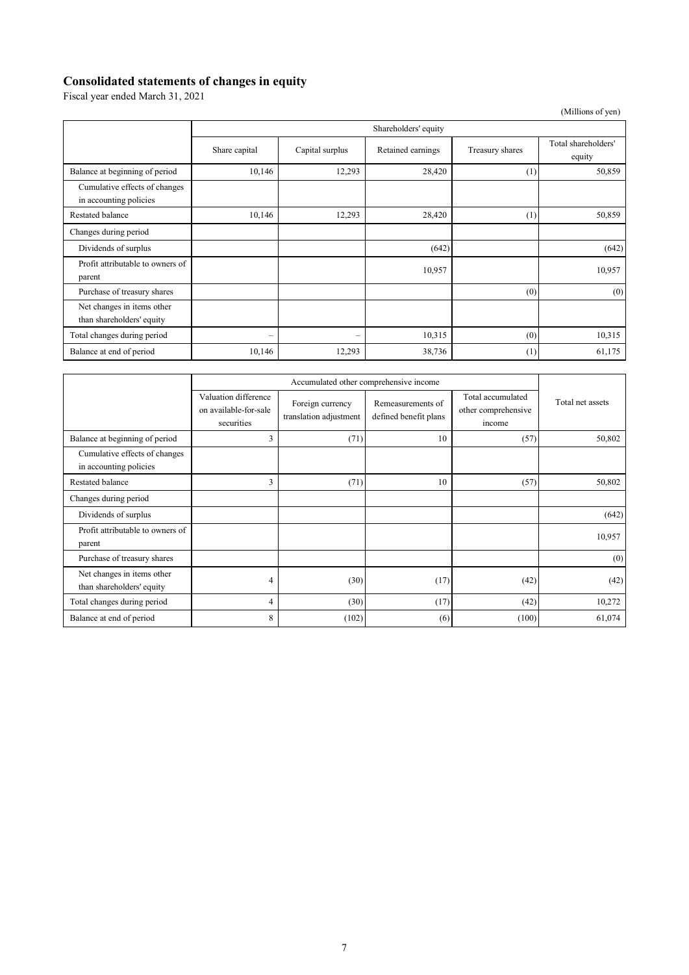#### **Consolidated statements of changes in equity**

Fiscal year ended March 31, 2021

|                                                         |                          |                          |                   |                 | (Millions of yen)             |  |  |  |  |
|---------------------------------------------------------|--------------------------|--------------------------|-------------------|-----------------|-------------------------------|--|--|--|--|
|                                                         |                          | Shareholders' equity     |                   |                 |                               |  |  |  |  |
|                                                         | Share capital            | Capital surplus          | Retained earnings | Treasury shares | Total shareholders'<br>equity |  |  |  |  |
| Balance at beginning of period                          | 10,146                   | 12,293                   | 28,420            | (1)             | 50,859                        |  |  |  |  |
| Cumulative effects of changes<br>in accounting policies |                          |                          |                   |                 |                               |  |  |  |  |
| Restated balance                                        | 10,146                   | 12,293                   | 28,420            | (1)             | 50,859                        |  |  |  |  |
| Changes during period                                   |                          |                          |                   |                 |                               |  |  |  |  |
| Dividends of surplus                                    |                          |                          | (642)             |                 | (642)                         |  |  |  |  |
| Profit attributable to owners of<br>parent              |                          |                          | 10,957            |                 | 10,957                        |  |  |  |  |
| Purchase of treasury shares                             |                          |                          |                   | (0)             | (0)                           |  |  |  |  |
| Net changes in items other<br>than shareholders' equity |                          |                          |                   |                 |                               |  |  |  |  |
| Total changes during period                             | $\overline{\phantom{m}}$ | $\overline{\phantom{0}}$ | 10,315            | (0)             | 10,315                        |  |  |  |  |
| Balance at end of period                                | 10,146                   | 12,293                   | 38,736            | (1)             | 61,175                        |  |  |  |  |

|                                                         | Accumulated other comprehensive income                      |                                            |                                            |                                                    |                  |
|---------------------------------------------------------|-------------------------------------------------------------|--------------------------------------------|--------------------------------------------|----------------------------------------------------|------------------|
|                                                         | Valuation difference<br>on available-for-sale<br>securities | Foreign currency<br>translation adjustment | Remeasurements of<br>defined benefit plans | Total accumulated<br>other comprehensive<br>income | Total net assets |
| Balance at beginning of period                          | 3                                                           | (71)                                       | 10                                         | (57)                                               | 50,802           |
| Cumulative effects of changes<br>in accounting policies |                                                             |                                            |                                            |                                                    |                  |
| Restated balance                                        | 3                                                           | (71)                                       | 10                                         | (57)                                               | 50,802           |
| Changes during period                                   |                                                             |                                            |                                            |                                                    |                  |
| Dividends of surplus                                    |                                                             |                                            |                                            |                                                    | (642)            |
| Profit attributable to owners of<br>parent              |                                                             |                                            |                                            |                                                    | 10,957           |
| Purchase of treasury shares                             |                                                             |                                            |                                            |                                                    | (0)              |
| Net changes in items other<br>than shareholders' equity | 4                                                           | (30)                                       | (17)                                       | (42)                                               | (42)             |
| Total changes during period                             | 4                                                           | (30)                                       | (17)                                       | (42)                                               | 10,272           |
| Balance at end of period                                | 8                                                           | (102)                                      | (6)                                        | (100)                                              | 61,074           |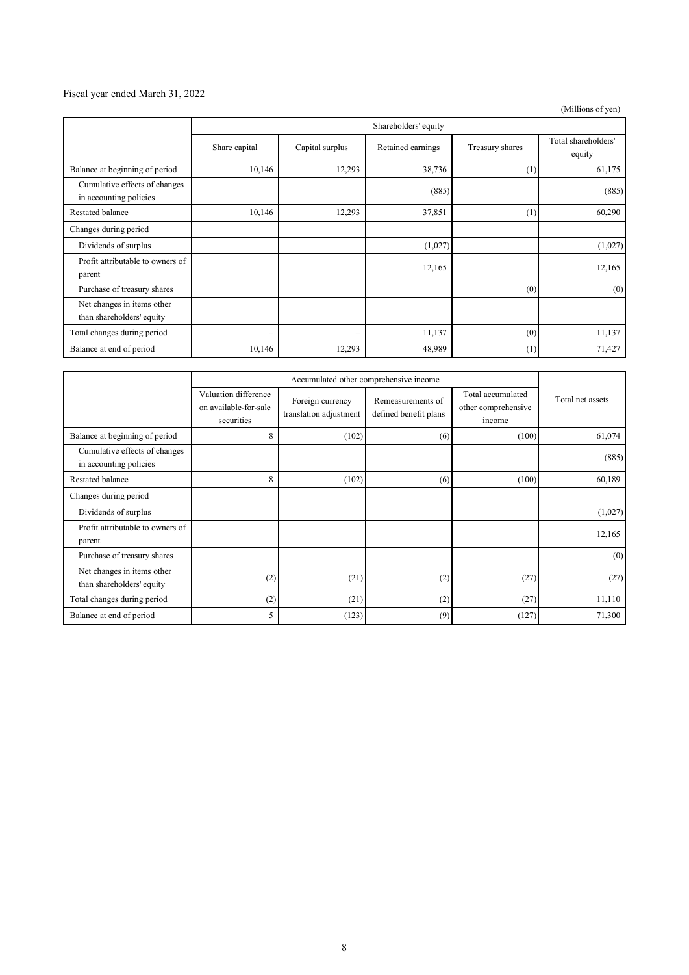### Fiscal year ended March 31, 2022

(Millions of yen)

|                                                         | Shareholders' equity     |                 |                   |                 |                               |
|---------------------------------------------------------|--------------------------|-----------------|-------------------|-----------------|-------------------------------|
|                                                         | Share capital            | Capital surplus | Retained earnings | Treasury shares | Total shareholders'<br>equity |
| Balance at beginning of period                          | 10,146                   | 12,293          | 38,736            | (1)             | 61,175                        |
| Cumulative effects of changes<br>in accounting policies |                          |                 | (885)             |                 | (885)                         |
| Restated balance                                        | 10,146                   | 12,293          | 37,851            | (1)             | 60,290                        |
| Changes during period                                   |                          |                 |                   |                 |                               |
| Dividends of surplus                                    |                          |                 | (1,027)           |                 | (1,027)                       |
| Profit attributable to owners of<br>parent              |                          |                 | 12,165            |                 | 12,165                        |
| Purchase of treasury shares                             |                          |                 |                   | (0)             | (0)                           |
| Net changes in items other<br>than shareholders' equity |                          |                 |                   |                 |                               |
| Total changes during period                             | $\overline{\phantom{0}}$ | -               | 11,137            | (0)             | 11,137                        |
| Balance at end of period                                | 10,146                   | 12,293          | 48,989            | (1)             | 71,427                        |

|                                                         | Accumulated other comprehensive income                      |                                            |                                            |                                                    |                  |
|---------------------------------------------------------|-------------------------------------------------------------|--------------------------------------------|--------------------------------------------|----------------------------------------------------|------------------|
|                                                         | Valuation difference<br>on available-for-sale<br>securities | Foreign currency<br>translation adjustment | Remeasurements of<br>defined benefit plans | Total accumulated<br>other comprehensive<br>income | Total net assets |
| Balance at beginning of period                          | 8                                                           | (102)                                      | (6)                                        | (100)                                              | 61,074           |
| Cumulative effects of changes<br>in accounting policies |                                                             |                                            |                                            |                                                    | (885)            |
| Restated balance                                        | 8                                                           | (102)                                      | (6)                                        | (100)                                              | 60,189           |
| Changes during period                                   |                                                             |                                            |                                            |                                                    |                  |
| Dividends of surplus                                    |                                                             |                                            |                                            |                                                    | (1,027)          |
| Profit attributable to owners of<br>parent              |                                                             |                                            |                                            |                                                    | 12,165           |
| Purchase of treasury shares                             |                                                             |                                            |                                            |                                                    | (0)              |
| Net changes in items other<br>than shareholders' equity | (2)                                                         | (21)                                       | (2)                                        | (27)                                               | (27)             |
| Total changes during period                             | (2)                                                         | (21)                                       | (2)                                        | (27)                                               | 11,110           |
| Balance at end of period                                | 5                                                           | (123)                                      | (9)                                        | (127)                                              | 71,300           |